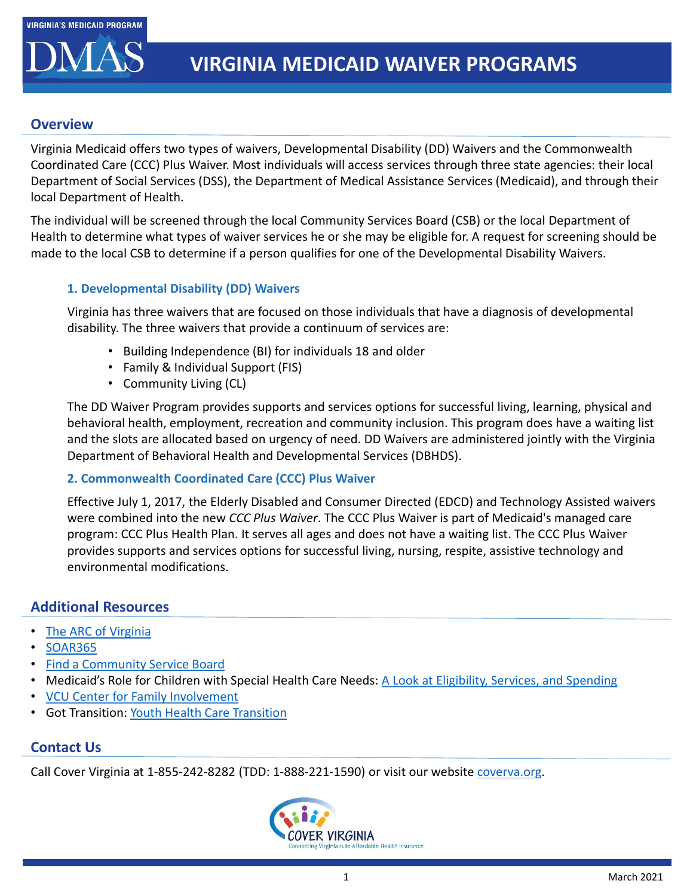

### **Overview**

Virginia Medicaid offers two types of waivers, Developmental Disability (DD) Waivers and the Commonwealth Coordinated Care (CCC) Plus Waiver. Most individuals will access services through three state agencies: their local Department of Social Services (DSS), the Department of Medical Assistance Services (Medicaid), and through their local Department of Health.

The individual will be screened through the local Community Services Board (CSB) or the local Department of Health to determine what types of waiver services he or she may be eligible for. A request for screening should be made to the local CSB to determine if a person qualifies for one of the Developmental Disability Waivers.

### **1. Developmental Disability (DD) Waivers**

Virginia has three waivers that are focused on those individuals that have a diagnosis of developmental disability. The three waivers that provide a continuum of services are:

- Building Independence (BI) for individuals 18 and older
- Family & Individual Support (FIS)
- Community Living (CL)

The DD Waiver Program provides supports and services options for successful living, learning, physical and behavioral health, employment, recreation and community inclusion. This program does have a waiting list and the slots are allocated based on urgency of need. DD Waivers are administered jointly with the Virginia Department of Behavioral Health and Developmental Services (DBHDS).

### **2. Commonwealth Coordinated Care (CCC) Plus Waiver**

Effective July 1, 2017, the Elderly Disabled and Consumer Directed (EDCD) and Technology Assisted waivers were combined into the new *CCC Plus Waiver*. The CCC Plus Waiver is part of Medicaid's managed care program: CCC Plus Health Plan. It serves all ages and does not have a waiting list. The CCC Plus Waiver provides supports and services options for successful living, nursing, respite, assistive technology and environmental modifications.

# **Additional Resources**

# • [The ARC of Virginia](https://www.thearcofva.org/)

- [SOAR365](https://www.soar365.org/)
- [Find a Community Service Board](http://www.dbhds.virginia.gov/community-services-boards-csbs)
- Medicaid's Role for Children with Special Health Care Needs: [A Look at Eligibility, Services, and Spending](https://www.kff.org/medicaid/issue-brief/medicaids-role-for-children-with-special-health-care-needs-a-look-at-eligibility-services-and-spending/)
- [VCU Center for Family Involvement](https://centerforfamilyinvolvement.vcu.edu/)
- Got Transition: [Youth Health Care Transition](https://www.gottransition.org/youthfamilies/index.cfm)

### **Contact Us**

Call Cover Virginia at 1-855-242-8282 (TDD: 1-888-221-1590) or visit our website [coverva.org.](https://coverva.org/)

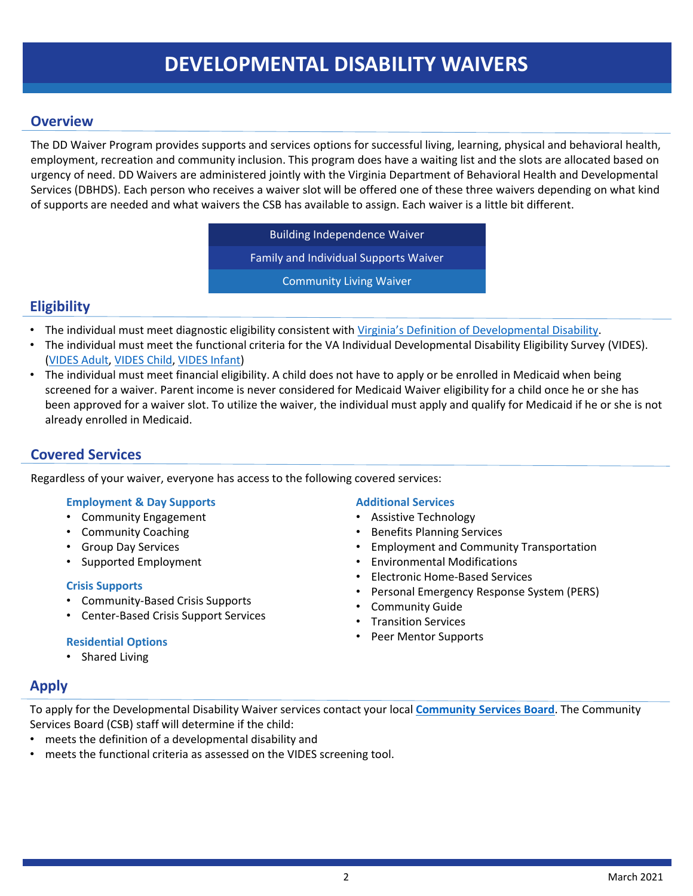# **DEVELOPMENTAL DISABILITY WAIVERS**

### **Overview**

The DD Waiver Program provides supports and services options for successful living, learning, physical and behavioral health, employment, recreation and community inclusion. This program does have a waiting list and the slots are allocated based on urgency of need. DD Waivers are administered jointly with the Virginia Department of Behavioral Health and Developmental Services (DBHDS). Each person who receives a waiver slot will be offered one of these three waivers depending on what kind of supports are needed and what waivers the CSB has available to assign. Each waiver is a little bit different.

> Building Independence Waiver Family and Individual Supports Waiver

> > Community Living Waiver

# **Eligibility**

- The individual must meet diagnostic eligibility consistent with [Virginia's Definition of Developmental Disability.](https://www.thearcofva.org/assets/docs/Definition-of-Developmental-Disability-1016.pdf)
- The individual must meet the functional criteria for the VA Individual Developmental Disability Eligibility Survey (VIDES). [\(VIDES Adult,](https://www.thearcofva.org/assets/docs/VIDES-Adults_03-15-2016-9.19.16.pdf) [VIDES Child](https://www.thearcofva.org/assets/docs/VIDES-Childrens-4272016-9.19.16.pdf), [VIDES Infant\)](https://www.thearcofva.org/assets/docs/VIDES-Infants-3302016-9.19.16.pdf)
- The individual must meet financial eligibility. A child does not have to apply or be enrolled in Medicaid when being screened for a waiver. Parent income is never considered for Medicaid Waiver eligibility for a child once he or she has been approved for a waiver slot. To utilize the waiver, the individual must apply and qualify for Medicaid if he or she is not already enrolled in Medicaid.

# **Covered Services**

Regardless of your waiver, everyone has access to the following covered services:

#### **Employment & Day Supports**

- Community Engagement
- Community Coaching
- Group Day Services
- Supported Employment

#### **Crisis Supports**

- Community-Based Crisis Supports
- Center-Based Crisis Support Services

#### **Residential Options**

• Shared Living

#### **Additional Services**

- Assistive Technology
- Benefits Planning Services
- Employment and Community Transportation
- Environmental Modifications
- Electronic Home-Based Services
- Personal Emergency Response System (PERS)
- Community Guide
- Transition Services
- Peer Mentor Supports

# **Apply**

To apply for the Developmental Disability Waiver services contact your local **[Community Services Board](http://www.dbhds.virginia.gov/community-services-boards-csbs)**. The Community Services Board (CSB) staff will determine if the child:

- meets the definition of a developmental disability and
- meets the functional criteria as assessed on the VIDES screening tool.